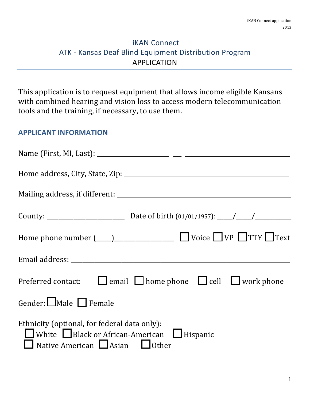## **iKAN Connect** ATK - Kansas Deaf Blind Equipment Distribution Program APPLICATION

This application is to request equipment that allows income eligible Kansans with combined hearing and vision loss to access modern telecommunication tools and the training, if necessary, to use them.

#### **APPLICANT INFORMATION**

| Preferred contact: $\Box$ email $\Box$ home phone $\Box$ cell $\Box$ work phone                                                                                   |
|-------------------------------------------------------------------------------------------------------------------------------------------------------------------|
| Gender: $\Box$ Male $\Box$ Female                                                                                                                                 |
| Ethnicity (optional, for federal data only):<br>$\Box$ White $\Box$ Black or African-American $\Box$ Hispanic<br>$\Box$ Native American $\Box$ Asian $\Box$ Other |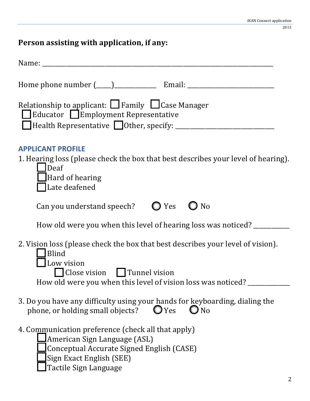# Person assisting with application, if any:

| Relationship to applicant: $\Box$ Family $\Box$ Case Manager<br>$\blacksquare$ Educator $\blacksquare$ Employment Representative                                                                            |
|-------------------------------------------------------------------------------------------------------------------------------------------------------------------------------------------------------------|
| <b>APPLICANT PROFILE</b><br>1. Hearing loss (please check the box that best describes your level of hearing).<br>$\Delta$ Deaf<br>Hard of hearing<br>Late deafened                                          |
| Can you understand speech? $\bigcirc$ Yes<br>N <sub>o</sub>                                                                                                                                                 |
| How old were you when this level of hearing loss was noticed? _______                                                                                                                                       |
| 2. Vision loss (please check the box that best describes your level of vision).<br><b>Blind</b><br>Low vision<br>Close vision Tunnel vision<br>How old were you when this level of vision loss was noticed? |
| 3. Do you have any difficulty using your hands for keyboarding, dialing the<br>$O$ Yes<br>phone, or holding small objects?<br>$\mathbf{O}$ No                                                               |
| 4. Communication preference (check all that apply)<br>American Sign Language (ASL)<br>Conceptual Accurate Signed English (CASE)<br>Sign Exact English (SEE)<br>Tactile Sign Language<br>2                   |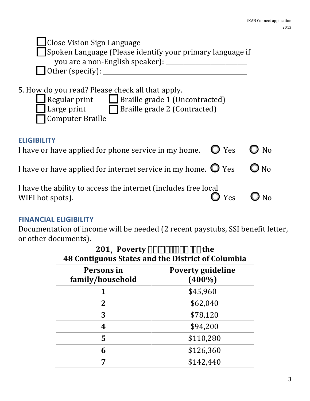| <b>Close Vision Sign Language</b><br>Spoken Language (Please identify your primary language if<br>you are a non-English speaker): __<br>Other (specify):                                                      |             |
|---------------------------------------------------------------------------------------------------------------------------------------------------------------------------------------------------------------|-------------|
| 5. How do you read? Please check all that apply.<br>$\lceil$ Regular print $\lceil \cdot \rceil$ Braille grade 1 (Uncontracted)<br>Large print $\Box$ Braille grade 2 (Contracted)<br><b>Computer Braille</b> |             |
| <b>ELIGIBILITY</b><br>I have or have applied for phone service in my home. $\bullet$ Yes                                                                                                                      | $\bm{)}$ No |
| I have or have applied for internet service in my home. $\bigcirc$ Yes                                                                                                                                        | No          |
| I have the ability to access the internet (includes free local<br>Yes<br>WIFI hot spots).                                                                                                                     |             |

### **FINANCIAL ELIGIBILITY**

Documentation of income will be needed (2 recent paystubs, SSI benefit letter, or other documents).

| 201 Poverty $\mathbf{f} \mathbf{H} \mathbf{W}$ $\mathbf{F}$ $\mathbf{F}$ $\mathbf{F}$ $\mathbf{C}$ $\mathbf{C}$ and $\mathbf{C}$<br><b>48 Contiguous States and the District of Columbia</b> |                                       |
|----------------------------------------------------------------------------------------------------------------------------------------------------------------------------------------------|---------------------------------------|
| Persons in<br>family/household                                                                                                                                                               | <b>Poverty guideline</b><br>$(400\%)$ |
|                                                                                                                                                                                              | \$45,960                              |
| $\mathbf{2}$                                                                                                                                                                                 | \$62,040                              |
| 3                                                                                                                                                                                            | \$78,120                              |
| 4                                                                                                                                                                                            | \$94,200                              |
| 5                                                                                                                                                                                            | \$110,280                             |
| 6                                                                                                                                                                                            | \$126,360                             |
|                                                                                                                                                                                              | \$142,440                             |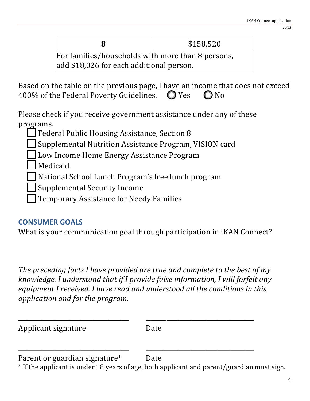|                                                   | \$158,520 |
|---------------------------------------------------|-----------|
| For families/households with more than 8 persons, |           |

add \$18,026 for each additional person.

Based on the table on the previous page, I have an income that does not exceed 400% of the Federal Poverty Guidelines.  $\bigcirc$  Yes  $\bigcirc$  No

Please check if you receive government assistance under any of these programs.

**Federal Public Housing Assistance, Section 8** 

Supplemental Nutrition Assistance Program, VISION card

Low Income Home Energy Assistance Program

**Medicaid** 

National School Lunch Program's free lunch program

Supplemental Security Income

Temporary Assistance for Needy Families

# **CONSUMER GOALS**

What is your communication goal through participation in iKAN Connect?

*The preceding facts I have provided are true and complete to the best of my knowledge. I understand that if I provide false information, I will forfeit any* equipment I received. I have read and understood all the conditions in this application and for the program.

\_\_\_\_\_\_\_\_\_\_\_\_\_\_\_\_\_\_\_\_\_\_\_\_\_\_\_\_\_\_\_\_\_\_\_\_\_% \_\_\_\_\_\_\_\_\_\_\_\_\_\_\_\_\_\_\_\_\_\_\_\_\_\_\_\_\_\_\_\_\_\_\_\_

\_\_\_\_\_\_\_\_\_\_\_\_\_\_\_\_\_\_\_\_\_\_\_\_\_\_\_\_\_\_\_\_\_\_\_\_\_% \_\_\_\_\_\_\_\_\_\_\_\_\_\_\_\_\_\_\_\_\_\_\_\_\_\_\_\_\_\_\_\_\_\_\_\_

| Applicant signature | Date |
|---------------------|------|
|                     |      |

Parent or guardian signature\* Date

\* If the applicant is under 18 years of age, both applicant and parent/guardian must sign.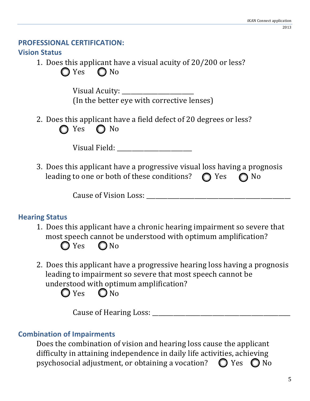#### **PROFESSIONAL CERTIFICATION:**

## **Vision Status**

1. Does this applicant have a visual acuity of  $20/200$  or less?

 $\bigcirc$  Yes  $\bigcirc$  No

Visual%Acuity:%\_\_\_\_\_\_\_\_\_\_\_\_\_\_\_\_\_\_\_\_\_\_\_\_% (In the better eye with corrective lenses)

2. Does this applicant have a field defect of 20 degrees or less? Yes  $\bigcirc$  No

| Visual Field: |  |
|---------------|--|
|---------------|--|

3. Does this applicant have a progressive visual loss having a prognosis leading to one or both of these conditions?  $\bigcirc$  Yes  $\bigcirc$  No

Cause of Vision Loss:

# **Hearing Status**

- 1. Does this applicant have a chronic hearing impairment so severe that most speech cannot be understood with optimum amplification?  $\bigcirc$  Yes  $\bigcirc$  No
- 2. Does this applicant have a progressive hearing loss having a prognosis leading to impairment so severe that most speech cannot be understood with optimum amplification?

 $Q$  Yes  $Q$  No

Cause%of%Hearing%Loss:%\_\_\_\_\_\_\_\_\_\_\_\_\_\_\_\_\_\_\_\_\_\_\_\_\_\_\_\_\_\_\_\_\_\_\_\_\_\_\_\_\_\_\_\_\_\_

# **Combination of Impairments**

Does the combination of vision and hearing loss cause the applicant difficulty in attaining independence in daily life activities, achieving psychosocial adjustment, or obtaining a vocation?  $\bigcirc$  Yes  $\bigcirc$  No